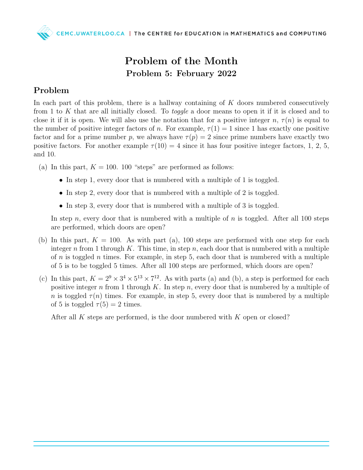

## Problem of the Month Problem 5: February 2022

## Problem

In each part of this problem, there is a hallway containing of  $K$  doors numbered consecutively from 1 to K that are all initially closed. To toggle a door means to open it if it is closed and to close it if it is open. We will also use the notation that for a positive integer  $n, \tau(n)$  is equal to the number of positive integer factors of n. For example,  $\tau(1) = 1$  since 1 has exactly one positive factor and for a prime number p, we always have  $\tau(p) = 2$  since prime numbers have exactly two positive factors. For another example  $\tau(10) = 4$  since it has four positive integer factors, 1, 2, 5, and 10.

- (a) In this part,  $K = 100$ . 100 "steps" are performed as follows:
	- In step 1, every door that is numbered with a multiple of 1 is toggled.
	- In step 2, every door that is numbered with a multiple of 2 is toggled.
	- In step 3, every door that is numbered with a multiple of 3 is toggled.

In step n, every door that is numbered with a multiple of n is toggled. After all 100 steps are performed, which doors are open?

- (b) In this part,  $K = 100$ . As with part (a), 100 steps are performed with one step for each integer n from 1 through K. This time, in step n, each door that is numbered with a multiple of  $n$  is toggled  $n$  times. For example, in step 5, each door that is numbered with a multiple of 5 is to be toggled 5 times. After all 100 steps are performed, which doors are open?
- (c) In this part,  $K = 2^9 \times 3^4 \times 5^{13} \times 7^{12}$ . As with parts (a) and (b), a step is performed for each positive integer n from 1 through  $K$ . In step n, every door that is numbered by a multiple of n is toggled  $\tau(n)$  times. For example, in step 5, every door that is numbered by a multiple of 5 is toggled  $\tau(5) = 2$  times.

After all K steps are performed, is the door numbered with  $K$  open or closed?